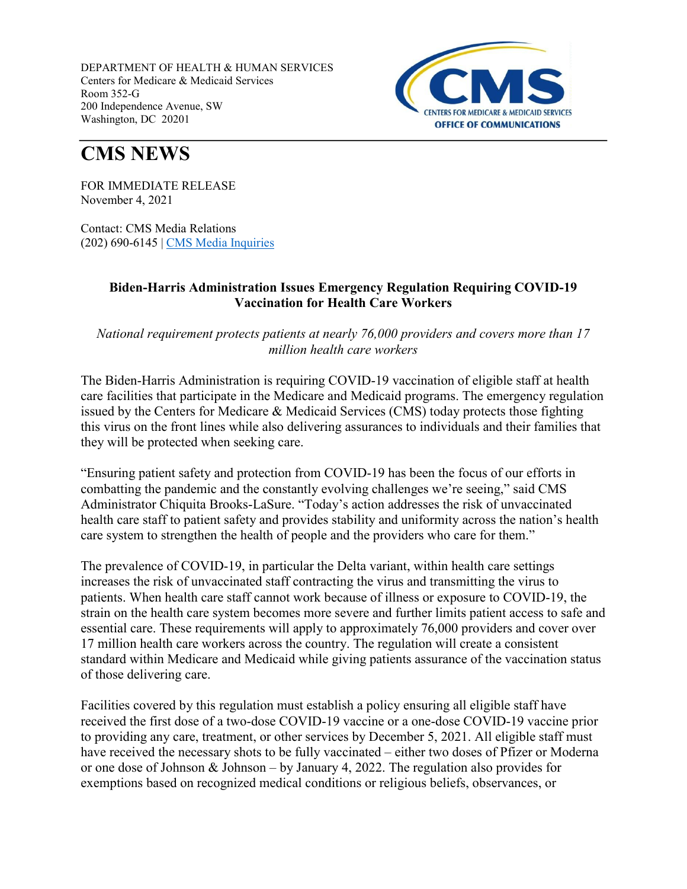DEPARTMENT OF HEALTH & HUMAN SERVICES Centers for Medicare & Medicaid Services Room 352-G 200 Independence Avenue, SW Washington, DC 20201



## **CMS NEWS**

FOR IMMEDIATE RELEASE November 4, 2021

Contact: CMS Media Relations (202) 690-6145 | CMS Media Inquiries

## **Biden-Harris Administration Issues Emergency Regulation Requiring COVID-19 Vaccination for Health Care Workers**

*National requirement protects patients at nearly 76,000 providers and covers more than 17 million health care workers*

The Biden-Harris Administration is requiring COVID-19 vaccination of eligible staff at health care facilities that participate in the Medicare and Medicaid programs. The emergency regulation issued by the Centers for Medicare & Medicaid Services (CMS) today protects those fighting this virus on the front lines while also delivering assurances to individuals and their families that they will be protected when seeking care.

"Ensuring patient safety and protection from COVID-19 has been the focus of our efforts in combatting the pandemic and the constantly evolving challenges we're seeing," said CMS Administrator Chiquita Brooks-LaSure. "Today's action addresses the risk of unvaccinated health care staff to patient safety and provides stability and uniformity across the nation's health care system to strengthen the health of people and the providers who care for them."

The prevalence of COVID-19, in particular the Delta variant, within health care settings increases the risk of unvaccinated staff contracting the virus and transmitting the virus to patients. When health care staff cannot work because of illness or exposure to COVID-19, the strain on the health care system becomes more severe and further limits patient access to safe and essential care. These requirements will apply to approximately 76,000 providers and cover over 17 million health care workers across the country. The regulation will create a consistent standard within Medicare and Medicaid while giving patients assurance of the vaccination status of those delivering care.

Facilities covered by this regulation must establish a policy ensuring all eligible staff have received the first dose of a two-dose COVID-19 vaccine or a one-dose COVID-19 vaccine prior to providing any care, treatment, or other services by December 5, 2021. All eligible staff must have received the necessary shots to be fully vaccinated – either two doses of Pfizer or Moderna or one dose of Johnson & Johnson – by January 4, 2022. The regulation also provides for exemptions based on recognized medical conditions or religious beliefs, observances, or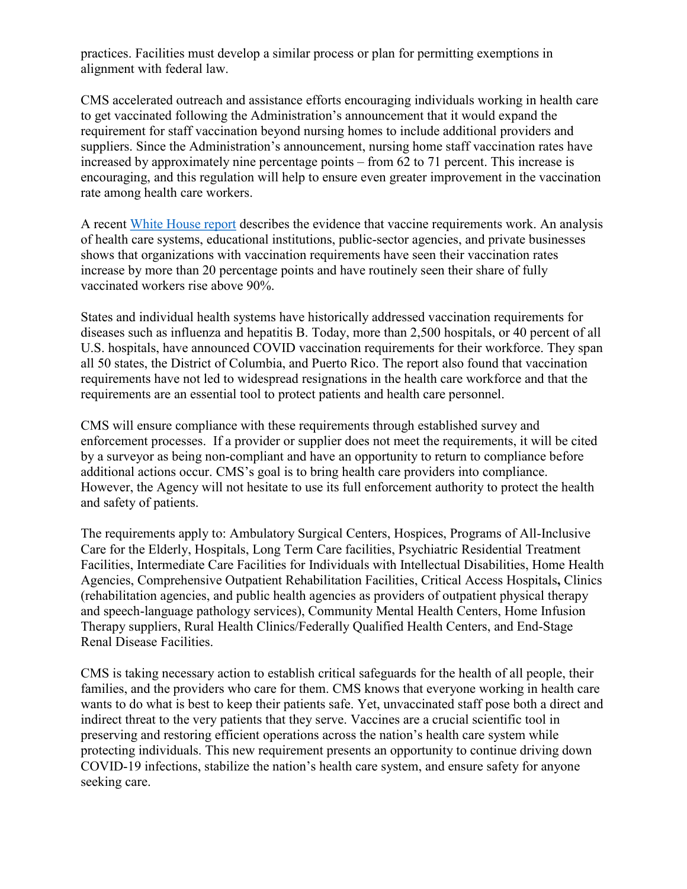practices. Facilities must develop a similar process or plan for permitting exemptions in alignment with federal law.

CMS accelerated outreach and assistance efforts encouraging individuals working in health care to get vaccinated following the Administration's announcement that it would expand the requirement for staff vaccination beyond nursing homes to include additional providers and suppliers. Since the Administration's announcement, nursing home staff vaccination rates have increased by approximately nine percentage points – from 62 to 71 percent. This increase is encouraging, and this regulation will help to ensure even greater improvement in the vaccination rate among health care workers.

A recent White House report describes the evidence that vaccine requirements work. An analysis of health care systems, educational institutions, public-sector agencies, and private businesses shows that organizations with vaccination requirements have seen their vaccination rates increase by more than 20 percentage points and have routinely seen their share of fully vaccinated workers rise above 90%.

States and individual health systems have historically addressed vaccination requirements for diseases such as influenza and hepatitis B. Today, more than 2,500 hospitals, or 40 percent of all U.S. hospitals, have announced COVID vaccination requirements for their workforce. They span all 50 states, the District of Columbia, and Puerto Rico. The report also found that vaccination requirements have not led to widespread resignations in the health care workforce and that the requirements are an essential tool to protect patients and health care personnel.

CMS will ensure compliance with these requirements through established survey and enforcement processes. If a provider or supplier does not meet the requirements, it will be cited by a surveyor as being non-compliant and have an opportunity to return to compliance before additional actions occur. CMS's goal is to bring health care providers into compliance. However, the Agency will not hesitate to use its full enforcement authority to protect the health and safety of patients.

The requirements apply to: Ambulatory Surgical Centers, Hospices, Programs of All-Inclusive Care for the Elderly, Hospitals, Long Term Care facilities, Psychiatric Residential Treatment Facilities, Intermediate Care Facilities for Individuals with Intellectual Disabilities, Home Health Agencies, Comprehensive Outpatient Rehabilitation Facilities, Critical Access Hospitals**,** Clinics (rehabilitation agencies, and public health agencies as providers of outpatient physical therapy and speech-language pathology services), Community Mental Health Centers, Home Infusion Therapy suppliers, Rural Health Clinics/Federally Qualified Health Centers, and End-Stage Renal Disease Facilities.

CMS is taking necessary action to establish critical safeguards for the health of all people, their families, and the providers who care for them. CMS knows that everyone working in health care wants to do what is best to keep their patients safe. Yet, unvaccinated staff pose both a direct and indirect threat to the very patients that they serve. Vaccines are a crucial scientific tool in preserving and restoring efficient operations across the nation's health care system while protecting individuals. This new requirement presents an opportunity to continue driving down COVID-19 infections, stabilize the nation's health care system, and ensure safety for anyone seeking care.